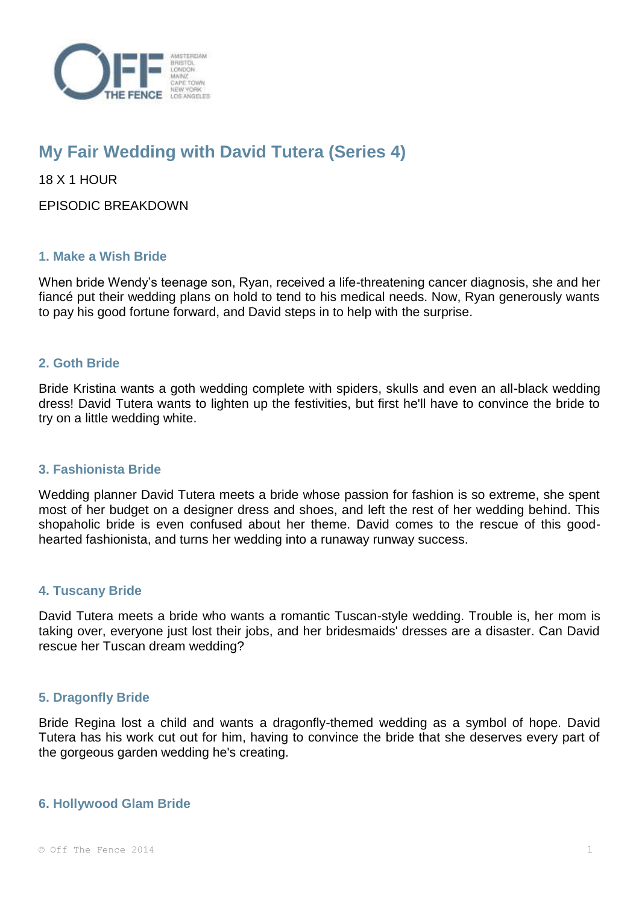

# **My Fair Wedding with David Tutera (Series 4)**

18 X 1 HOUR

EPISODIC BREAKDOWN

## **1. Make a Wish Bride**

When bride Wendy's teenage son, Ryan, received a life-threatening cancer diagnosis, she and her fiancé put their wedding plans on hold to tend to his medical needs. Now, Ryan generously wants to pay his good fortune forward, and David steps in to help with the surprise.

## **2. Goth Bride**

Bride Kristina wants a goth wedding complete with spiders, skulls and even an all-black wedding dress! David Tutera wants to lighten up the festivities, but first he'll have to convince the bride to try on a little wedding white.

## **3. Fashionista Bride**

Wedding planner David Tutera meets a bride whose passion for fashion is so extreme, she spent most of her budget on a designer dress and shoes, and left the rest of her wedding behind. This shopaholic bride is even confused about her theme. David comes to the rescue of this goodhearted fashionista, and turns her wedding into a runaway runway success.

## **4. Tuscany Bride**

David Tutera meets a bride who wants a romantic Tuscan-style wedding. Trouble is, her mom is taking over, everyone just lost their jobs, and her bridesmaids' dresses are a disaster. Can David rescue her Tuscan dream wedding?

## **5. Dragonfly Bride**

Bride Regina lost a child and wants a dragonfly-themed wedding as a symbol of hope. David Tutera has his work cut out for him, having to convince the bride that she deserves every part of the gorgeous garden wedding he's creating.

## **6. Hollywood Glam Bride**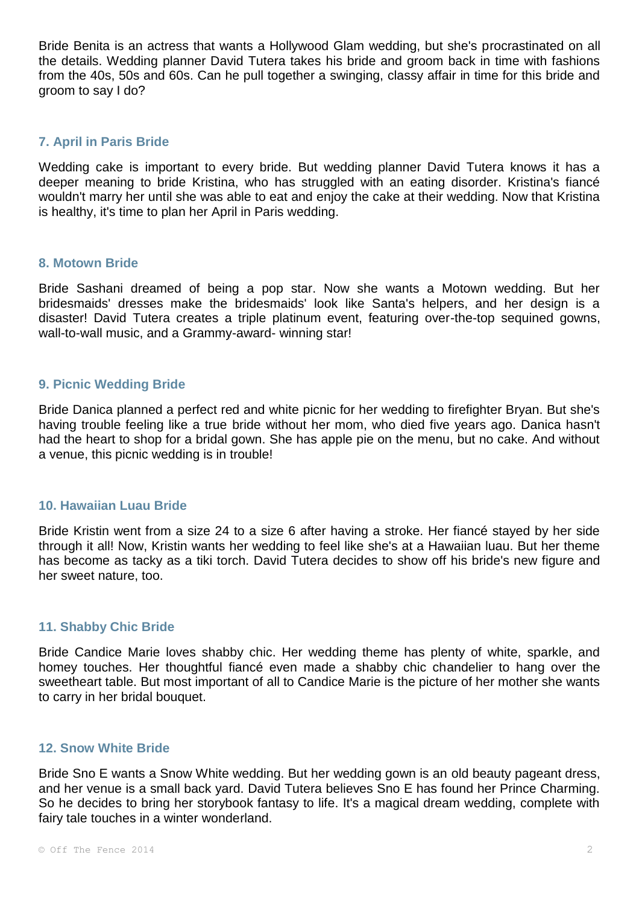Bride Benita is an actress that wants a Hollywood Glam wedding, but she's procrastinated on all the details. Wedding planner David Tutera takes his bride and groom back in time with fashions from the 40s, 50s and 60s. Can he pull together a swinging, classy affair in time for this bride and groom to say I do?

## **7. April in Paris Bride**

Wedding cake is important to every bride. But wedding planner David Tutera knows it has a deeper meaning to bride Kristina, who has struggled with an eating disorder. Kristina's fiancé wouldn't marry her until she was able to eat and enjoy the cake at their wedding. Now that Kristina is healthy, it's time to plan her April in Paris wedding.

## **8. Motown Bride**

Bride Sashani dreamed of being a pop star. Now she wants a Motown wedding. But her bridesmaids' dresses make the bridesmaids' look like Santa's helpers, and her design is a disaster! David Tutera creates a triple platinum event, featuring over-the-top sequined gowns, wall-to-wall music, and a Grammy-award- winning star!

## **9. Picnic Wedding Bride**

Bride Danica planned a perfect red and white picnic for her wedding to firefighter Bryan. But she's having trouble feeling like a true bride without her mom, who died five years ago. Danica hasn't had the heart to shop for a bridal gown. She has apple pie on the menu, but no cake. And without a venue, this picnic wedding is in trouble!

## **10. Hawaiian Luau Bride**

Bride Kristin went from a size 24 to a size 6 after having a stroke. Her fiancé stayed by her side through it all! Now, Kristin wants her wedding to feel like she's at a Hawaiian luau. But her theme has become as tacky as a tiki torch. David Tutera decides to show off his bride's new figure and her sweet nature, too.

## **11. Shabby Chic Bride**

Bride Candice Marie loves shabby chic. Her wedding theme has plenty of white, sparkle, and homey touches. Her thoughtful fiancé even made a shabby chic chandelier to hang over the sweetheart table. But most important of all to Candice Marie is the picture of her mother she wants to carry in her bridal bouquet.

## **12. Snow White Bride**

Bride Sno E wants a Snow White wedding. But her wedding gown is an old beauty pageant dress, and her venue is a small back yard. David Tutera believes Sno E has found her Prince Charming. So he decides to bring her storybook fantasy to life. It's a magical dream wedding, complete with fairy tale touches in a winter wonderland.